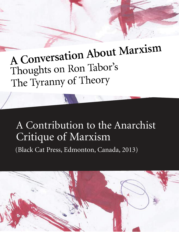# A Conversation About Marxism Thoughts on Ron Tabor's The Tyranny of Theory

## A Contribution to the Anarchist Critique of Marxism

(Black Cat Press, Edmonton, Canada, 2013)

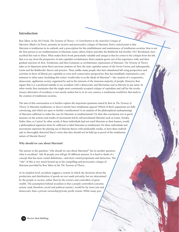### **Introduction**

Ron Tabor, in his 2013 book, *The Tyranny of Theory—A Contribution to the Anarchist Critique of Marxism* (Black Cat Press), presents an incisive and provocative critique of Marxism. Ron's central point is that Marxism is totalitarian in its outlook, and a prescription for the establishment and maintenance of totalitarian societies. Ron is not the first person to see totalitarianism in Marxism; many others, before and after the Bolshevik-led October 1917 Revolution, have ascribed this trait to Marx. What makes Ron's book particularly valuable and unique is that he comes to his critique from the left, that is to say, from the perspective of anti-capitalist revolutionary. Ron's analysis grows out of his experience with, and then gradual rejection of, first, Trotskyism, and then Leninism, as revolutionary expressions of Marxism. *The Tyranny of Theory* takes as its departure point Ron's previous analyses of, first, the state capitalist nature of the Soviet Union, and subsequently, Lenin and the Bolsheviks' theory and practice. Thus, unlike many people who have abandoned left-wing perspectives and activities in favor of liberal, pro-capitalist or even arch-conservative perspectives, Ron has steadfastly maintained a commitment to what some (including this writer) would refer to as the ideals of Marxism"—the creation of a cooperative, democratic, egalitarian society, organized by and in the interests of the immense majority of people. However, Ron argues that it is a profound mistake to see socialism with a democratic and libertarian soul as Marxist in any sense. In other words, Ron maintains that the single most consistently accepted critique of capitalism and call for the revolutionary alternative of socialism, is not merely useless but is, in its very essence, a totalitarian worldview that leads to the creation of totalitarian societies.

The aim of this conversation is to further explore the important questions raised by Ron in *The Tyranny of Theory.* Is Marxism totalitarian, or does it merely have totalitarian aspects? Which of Ron's arguments are fully convincing, and which are open to further consideration? Is an analysis of the philosophical underpinnings of Marxism sufficient to make the case for Marxism as totalitarianism? Or does this conclusion rest in good measure on the actions and results of movements led by self-proclaimed Marxists such as Lenin, Trotsky, Stalin, Mao, or Castro? In other words, if these individuals had not used Marxism as their banner, would a philosophical argument alone be sufficient to label Marxism as totalitarian? Do these individuals and movements represent the playing out of Marxist theory with predictable results, or have these individuals so thoroughly distorted Marx's views that they should not be held up as proof of the totalitarian nature of Marxist theory?

#### **Why should we care about Marxism?**

The answer to the question, "why should we care about Marxism?" lies in another question: what is socialism? Ask 50 people; you will get 50 different answers. It is hard to think of a concept that has more varied definitions—and more varied proponents and detractors. The "why" of this is very much bound up in the compelling and provocative critique of Marxism provided by Ron Tabor in his *The Tyranny of Theory*.

At its simplest level, socialism suggests a system in which the decisions about the production and distribution of goods are not made privately, but are determined by the people or society, rather than by the owners and controllers of great wealth. The assumption behind socialism is that a people-controlled economic system (and, therefore, social and political system), would be far more just and democratic than a private ownership/private-profit system. While many peo-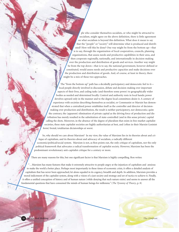ple who consider themselves socialists, or who might be attracted to socialism, might agree on the above definition, there is little agreement on what socialism is beyond this definition. What does it mean to say that the "people" or "society" will determine what is produced and distributed? How will this be done? One way might be from the bottom up—that is to say, through the organization of local cooperatives, councils, planning organizations, that assess needs and productive capabilities in their area, and then cooperate regionally, nationally, and internationally in decision-making over the production and distribution of goods and services. Another way might be from the top down—that is to say, the national government, however defined or constituted, would assess needs and productive capacities and make decisions over the production and distribution of goods. And, of course, at least in theory, there might be a mix of these two approaches.

The "from the bottom up" path has a decidedly participatory and democratic feel to it local people directly involved in discussion, debate and decision-making over important aspects of their lives, and ceding tasks (and therefore some power) to geographically wider bodies as needed and determined locally. Control and authority rests in local hands; power devolves upward only in the manner and to the degree local committees desire it. A century of experience with societies describing themselves as socialist, or Communist or Marxist has demonstrated that when a centralized power establishes itself as the controller and director of decisionmaking over production and distribution, the result is neither participatory, nor democratic; quite the contrary, the (apparent) elimination of private capital as the driving force of production and distribution has merely resulted in the substitution of state-controlled (and in this sense private) capital calling the shots. Moreover, in the absence of the degree of pluralism that exists in free-market capitalist societies, these state capitalist societies are highly authoritarian at best, and (often in their Marxist-Leninist form) brutal, totalitarian dictatorships at worst.

So, why should we care about Marxism? In my view, the value of Marxism lies in its theories about and critique of capitalism, and its theories about and advocacy of socialism, a radically different economic/political/social system. Marxism is not, as Ron points out, the only critique of capitalism, nor the only political framework that advocates a radical transformation of capitalist society. However, Marxism has been the predominant revolutionary anti-capitalist critique for a century or more.

There are many reasons for this, but one significant factor is that Marxism is highly compelling. Ron writes:

"…Marxism has many features that make it extremely attractive to people angry at the injustices of capitalism and anxious to make the world a better place. Perhaps most importantly in these times of economic crisis, it offers a detailed analysis of capitalism that has never been approached, let alone equaled in its cogency, breadth and depth. In addition, Marxism provides a moral indictment of the capitalist system, along with a vision of a just society and strategy and set of tactics to achieve it. Finally, it offers a unified conception of history and of human nature (while denying that such nature exists) and seems to answer all the fundamental questions that have consumed the minds of human beings for millennia." (*The Tyranny of Theory*, p. 8)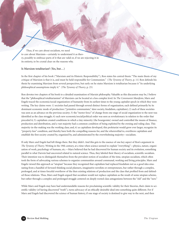Thus, if we care about socialism, we need to care about Marxism—certainly to understand it as theory, possibly to embrace parts of it that are valid or, if we are rejecting it in its entirety, to be crystal clear on the reasons why.

#### **Is Marxism totalitarian? (Yes, but…)**

In the first chapter of his book ("Marxism and its Historic Responsibility"), Ron states his central thesis: "The main thesis of my critique of Marxism is that it is, and must be held responsible for Communism." (*The Tyranny of Theory*, p. 11) Ron defends his thesis by examining Marxism from several perspectives, but early on he states Marxism is totalitarian because it "its underlying philosophical assumptions imply it." (*The Tyranny of Theory*, p. 25)

Ron devotes two chapters of his book to a detailed examination of Marxist philosophy. Valuable as this discussion may be, I believe that the "philosophical totalitarianism" of Marxism can be located at a less complex level. In *The Communist Manifesto*, Marx and Engels traced the economic/social organization of humanity from its earliest times to the young capitalist epoch in which they were writing. The key claims were: 1) societies had passed through several distinct forms of organization, each defined primarily by its dominant economic mode of production ("primitive communism," slave society, feudalism, capitalism); 2) each of these societies was seen as an advance on the previous society; 3) the "motor force" of change from one stage of social organization to the next was identified as the class struggle; 4) each new economic/social/political order was seen as revolutionary in relation to the order that preceded it; 5) capitalism created conditions in which a tiny minority (the bourgeoisie) owned and controlled the means of finance, production and distribution, and a vast majority had a common condition of being exploited by the owning and ruling class. This majority-in-the-making was the working class; and, 6) as capitalism developed, this proletariat would grow ever larger, recognize its "property-less" condition, and thereby have both the compelling reasons for, and the wherewithal to, overthrow capitalism and establish the first society created by, organized by, and administrated by the overwhelming majority—socialism.

 If only Marx and Engels had left things there. But they didn't. And this gets to the essence of one key aspect of Ron's argument in *The Tyranny of Theory*. Writing in the 19th century, at a time when science seemed to explain "everything"—physics, nature, organization of work, psychology of humans, etc.—Marx believed that he had discovered for human society and its evolution, something parallel to what Darwin had uncovered related to natural science. Thus, they labeled their theory of socialism, scientific socialism. Their intention was to distinguish themselves from the prevalent notion of socialism of the time, utopian socialism, which often took the form of advocating various schemes to organize communities around communal, working and living principles. Marx and Engels viewed this approach as "utopian" because they recognized that capitalism had replaced feudalism not as a good idea emanating from a handful of forward-thinking social planners, imaginative novelists or entrepreneurs, bur rather through a complex, prolonged, and at times forceful overthrow of the then existing relations of production and the class that profited from and defended those relations. Thus, Marx and Engels argued that socialism would not replace capitalism as the result of some utopian scheme, but rather through a complex and prolonged struggle centered on deeply rooted class antagonisms between the "old" and the "new."

While Marx and Engels may have had understandable reasons for proclaiming scientific validity for their theories, their claim to scientific validity (of having discovered "truth"), turns advocacy of an ethically desirable ideal into something quite different. For if Marx and Engels had discovered the science of human history, if one stage of society is destined to give way to the next, and then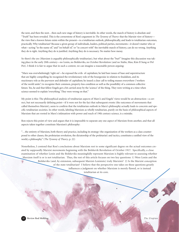the next, and then the next…then each new stage of history is inevitable. In other words, the march of history is absolute and "Truth" has been revealed. This is the cornerstone of Ron's argument in *The Tyranny of Theory*: that the Marxist view of history the view that a known future exists within the present—is a totalitarian outlook, philosophically, and leads to totalitarian outcomes, practically. Why totalitarian? Because a given group of individuals, leaders, political parties, movements—it doesn't matter who or what—acting "in the name of," and "on behalf of," or "in concert with" the inevitable march of history, can do no wrong. Anything they do is right. Anything they do is justified. Anything they do is necessary. No matter how messy.

So there's the yes (Marxism is arguably philosophically totalitarian), but what about the "but?" Imagine this discussion was taking place in the early 20th century—no Lenin, no Bolsheviks, no October Revolution (and no Stalin, Mao, Kim Il Sung or Pol Pot). I think it is fair to argue that in such a context, we can imagine a reasonable person arguing:

"Marx was overwhelmingly 'right on'—he exposed the evils of capitalism; he laid bare issues of base and superstructure that are highly compelling; he recognized the revolutionary role of the bourgeoisie in relation to feudalism, and its reactionary role as the purveyor and defender of capitalism; he issued a clear call to toiling masses everywhere ('workers of the world unite') to recognize their common, property-less condition as well as the possibility of a common collective future. Yes, he and that fellow Engels got a bit carried away by the 'science' of the thing. They were writing at a time when science seemed to explain 'everything.' They were wrong on that."

My point is this: The philosophical analysis of totalitarian aspects of Marx's and Engels' views would be an abstraction—a correct, but not necessarily defining point—if it were not for the fact that subsequent events (the outcomes of movements that called themselves Marxist), seem to confirm that the totalitarian outlook in Marx's philosophy actually leads to concrete and specific totalitarian societies. In other words, labeling Marxism as wholly totalitarian, purely on the basis of philosophical aspects of Marxism that are rooted in Marx's infatuation with power and reach of 19th century science, is a mistake.

Ron rejects this point of view and argues that it is impossible to separate any one aspect of Marxism from another, and that all aspects taken together constitute Marxism's philosophy:

"…the entirety of Marxism, both theory and practice, including its strategy (the organization of the workers as a class counterposed to other classes, the proletarian revolution, the dictatorship of the proletariat) and tactics, constitutes a unified view of the world, a philosophy." (*The Tyranny of Theory*, p. 22)

Nonetheless, I contend that Ron's conclusions about Marxism rest to some significant degree on the actual outcomes created by supposedly Marxist movements beginning with the Bolshevik Revolution of October 1917. Specifically, a close examination of whether Lenin and the Bolsheviks meaningfully represent Marxism is highly relevant to assessing whether Marxism itself is or is not totalitarian. Thus, the rest of this article focuses on two key questions: 1) Were Lenin and the Bolsheviks (and, by extension, subsequent Marxist-Leninists) truly Marxists? 2) Is the Marxist conception of the state totalitarian? I believe that the perspective one takes on these questions greatly influences a judgment on whether Marxism is merely flawed, or is instead totalitarian at its core.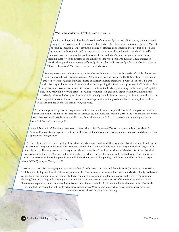#### **Was Lenin a Marxist? (Well, he said he was…)**

Lenin was the principal leader of a section of an avowedly Marxist political party, (=the Bolshevik wing of the Russian Social Democratic Labor Party—RSDLP; he wrote books on aspects of Marxist theory; he spoke in Marxist terminology; and he claimed to be leading a Marxist-inspired socialist revolution. In short, Lenin said he was a Marxist. However, although Lenin considered himself a Marxist, over the course of his political career he revised Marx's views in significant ways (always framing these revisions in terms of the conditions that were peculiar to Russia). These changes to Marxist theory and practice were sufficiently distinct that Stalin was easily able to re-label Marxism, as "Marxism-Leninism." Marxism-Leninism is not Marxism.

Ron expresses some ambivalence regarding whether Lenin was a Marxist. In a series of articles that subsequently appeared as *A Look At Leninism* (1988), Ron argues that Lenin and the Bolsheviks were not democratic, libertarian socialists, but were instead authoritarian, state capitalists (a point of view that I agree with). Ron begins his analysis of Lenin's outlook by suggesting that Lenin was a prisoner of a "Marxist orthodoxy" that saw Russia as not sufficiently transformed from the feudal/agrarian stage to the bourgeois/capitalist stage to be ready for a working class-led socialist revolution. He goes on to argue, with merit, that this may have deeply influenced what type of society Lenin actually thought he was creating, and hence the authoritarian, state-capitalist outcome. However, Ron seems to recognize at least the possibility that Lenin may have broken with Marxism. He doesn't say this directly, but writes:

"Another argument against my hypothesis that the Bolsheviks were (despite themselves) bourgeois revolutionaries is that they thought of themselves as Marxists, studied Marxism, made it clear to the workers that they were socialists, recruited people to be socialists, etc. But calling yourself a Marxist doesn't automatically make you one." (*A Look at Leninism*, p. 13)

Since *A Look at Leninism* was written several years prior to *The Tyranny of Theory* it may not reflect later views. In *Tyranny*, Ron rejects any argument that the Bolsheviks and their various successors were not Marxists, and dismisses this argument on two grounds:

"In fact, almost every type of apologist for Marxism articulates a variant of this argument. Trotskyists insist that Lenin was true to Marx; Stalin distorted him. Maoists contend that Lenin and Stalin were Marxists; 'revisionism' began with Khrushchev…. The very posing of the argument (in whatever form) implies a critique of Marxism, for if the historical process had developed as Marx predicted, all debate over what is or isn't Marxism would be irrelevant. The socialist revolution a la Marx would have happened (or would be in the process of happening), and there would be nothing to argue about." (*The Tyranny of Theory*, p. 19)

These are not particularly strong arguments. As to the first, if one believes that Lenin and the Bolsheviks (the inspirers of Marxism-Leninism, the ideology used by all of the subsequent so-called Marxist movements/revolutions) were not Marxists, that is, had broken so significantly with Marxism as to give it a totalitarian content, it is not compelling for Ron to dismiss this view as "picking and choosing." It is not picking and choosing to see the entirety of the 20th-century revolutionary leftist movements as non-Marxist. Ron's second argument is simply circular. It dismisses a discussion over whether Lenin and the Bolsheviks were in fact Marxists by arguing that there would be nothing to debate if socialism was, as Marx believed, inevitable. But, of course, socialism is not inevitable. Marx believed this, but he was wrong.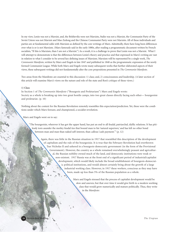In my view, Lenin was not a Marxist, and, the Bolsheviks were not Marxists, Stalin was not a Marxist, the Communist Party of the Soviet Union was not Marxist and Mao Zedong and the Chinese Communist Party were not Marxists. All of these individuals and parties are at fundamental odds with Marxism as defined by the core writings of Marx. Admittedly, there have long been differences over what is or is not Marxism. (Marx famously said in the early 1880s, after reading a programmatic document written by French socialists, "If this is Marxism, than I am not a Marxist.") As a result, it is a challenge to prove that Lenin was not a Marxist. What I will attempt to demonstrate is that the differences between Lenin's theory and practice and that expressed in Marx's writing are vast in relation to what I consider to be several key defining issues of Marxism. Marxism will be represented by a single work, *The Communist Manifesto*, written by Marx and Engels in late 1847 and published in 1848 as the programmatic expression of the newly formed Communist League. While both Marx and Engels wrote many subsequent works that further elaborated aspects of their views, these subsequent writings did not fundamentally alter the core propositions presented in *The Communist Manifesto*.

Two areas from the Manifesto are essential to this discussion: 1) class; and, 2) consciousness and leadership. (A later section of this article will examine Marx's views on the nature and role of the state and Ron's critique of these views.)

#### **1) Class**

In Section 1 of *The Communist Manifesto* ("Bourgeois and Proletarians") Marx and Engels wrote: Society as a whole is breaking up into two great hostile camps, into two great classes directly facing each other— bourgeoisie and proletariat. (p. 10)

Nothing about the context for the Russian Revolution remotely resembles this expectation/prediction. Yet, these were the conditions under which Marx foresaw, and championed, a socialist revolution.

Marx and Engels went on to say:

"The bourgeoisie, wherever it has got the upper hand, has put an end to all feudal, patriarchal, idyllic relations. It has pitilessly torn asunder the motley feudal ties that bound man to his 'natural superiors,' and has left no other bond between man and man than naked self-interest, than callous 'cash payment.'" (p. 12)

Again, there was little in the Russian situation in 1917 that resembled this description of the development of capitalism and the rule of the bourgeoisie. It is true that the February Revolution had overthrown Tsar Nicholas II and ushered in a bourgeois-democratic government (in the form of the Provisional Government). However, the country as a whole remained overwhelmingly peasant and agricultural, the Russian nobility owned much of the land, and democratic institutions were weak or non-existent. 1917 Russia was at the front end of a significant period of industrial/capitalist development, which would likely include the broad establishment of bourgeois-democratic political institutions, and would almost certainly bring about the growth of a large industrial working class. However, in 1917 these workers, conscious as they may have been, made up less than 5% of the Russian population as a whole.

> Marx and Engels stressed that the process of capitalist development would be slow and uneven, but that over time it would give birth to a modern working class that would grow numerically and mature politically. Thus, they write in the *Manifesto*: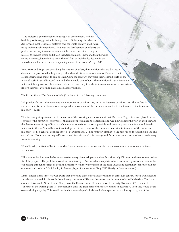"The proletariat goes through various stages of development. With its birth begins its struggle with the bourgeoisie….At this stage the laborers still form an incoherent mass scattered over the whole country, and broken up by their mutual competition….But with the development of industry the proletariat not only increases in number; it becomes concentrated in greater masses, its strength grows, and it feels that strength more….Now and then the workers are victorious, but only for a time. The real fruit of their battles lies, not in the immediate results, but in the ever-expanding union of the workers." (pp. 18-19)

Here, Marx and Engels are describing the creation of a class, the conditions that weld it into a class, and the processes that begin to give that class identity and consciousness. These were not casual observations, things to take or leave. Quite the contrary, they were their central beliefs on the material basis for socialism, and how and why it would come about. The conditions in 1917 Russia do not remotely approximate the existence of such a class, ready to make in its own name, by its own acts, in its own interests, a working class-led socialist revolution.

The first section of *The Communist Manifesto* builds to the following conclusion:

"All previous historical movements were movements of minorities, or in the interests of minorities. The proletarian movement is the self-conscious, independent movement of the immense majority, in the interest of the immense majority." (p. 21)

This is a straight up statement of the nature of the working class movement that Marx and Engels foresaw, placed in the context of the centuries-long process that led from feudalism to capitalism and was now leading the way, in their view, to the development of capitalism in such a way as to make socialism a possible and necessary next step. Marx and Engels' reference to this as "the self-conscious, independent movement of the immense majority, in interests of the immense majority" is: 1) a central, defining tenet of Marxism; and, 2) not remotely similar to the revolution the Bolsheviks led and carried out. Twentieth century self-proclaimed Marxists read this passage and found one pretext or another to walk away from its meaning.

When Trotsky, in 1903, called for a workers' government as an immediate aim of the revolutionary movement in Russia, Lenin answered:

"That cannot be! It cannot be because a revolutionary dictatorship can endure for a time only if it rests on the enormous majority of the people ... The proletariat constitutes a minority ... Anyone who attempts to achieve socialism by any other route without passing through the stage of political democracy, will inevitably arrive at the most absurd and reactionary conclusions, both economic and political." (V. I. Lenin, *Sochinenya*, ix, p.14, quoted from Tony Cliff, *Trotsky on Substitutionism*)

Lenin, at least at this time, was well aware that a working class-led socialist revolution in early 20th century Russia would lead to anti-democratic and, in his words, "reactionary conclusions." He was also aware that this was at odds with Marxism. Trotsky was aware of this as well. At the Second Congress of the Russian Social Democratic Workers' Party (London, 1903), he stated: "The rule of the working class (is) inconceivable until the great mass of them (are) united in desiring it. Then they would be an overwhelming majority. This would not be the dictatorship of a little band of conspirators or a minority party, but of the

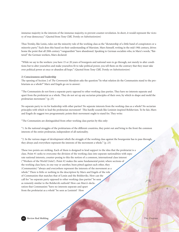immense majority in the interests of the immense majority, to prevent counter-revolution. In short, it would represent the victory of true democracy." (Quoted from Tony Cliff, *Trotsky on Substitutionism*)

Thus Trotsky, like Lenin, rules out the minority rule of the working class as the "dictatorship of a little band of conspirators or a minority party." Each does this based on their understanding of Marxism. Marx himself, writing in the mid-19th century, drives home the point that all 20th century "vanguardists" have abandoned. Speaking to German socialists who, in Marx's words, "flattered" the German workers, Marx declared:

"While we say to the workers: you have 15 or 20 years of bourgeois and national wars to go through, not merely to alter conditions but to alter yourselves and make yourselves fit to take political power, you tell them on the contrary that they must take over political power at once or abandon all hope." (Quoted from Tony Cliff, *Trotsky on Substitutionism*)

#### **2) Consciousness and leadership**

The opening of Section 2 of *The Communist Manifesto* asks the question:"In what relation do the Communists stand to the proletarians as a whole?" Marx and Engels go on to answer:

"The Communists do not form a separate party opposed to other working class parties. They have no interests separate and apart from the proletariat as a whole. They do not set up any sectarian principles of their own, by which to shape and mold the proletarian movement." (p. 23)

No separate party to vie for leadership with other parties? No separate interests from the working class as a whole? No sectarian principles with which to lead the proletarian movement? This hardly sounds like Leninist-inspired Bolshevism. To be fair, Marx and Engels do suggest two programmatic points their movement ought to stand for. They write:

"The Communists are distinguished from other working class parties by this only:

"1. In the national struggles of the proletarians of the different countries, they point out and bring to the front the common interests of the entire proletariat, independent of all nationality.

"2. In the various stages of development which the struggle of the working class against the bourgeoisie has to pass through, they always and everywhere represent the interests of the movement a whole." (p. 23)

These two points are striking. Each of them is designed to lend support to the idea that the proletariat is a class. Point #1 seeks to overcome the division of the working class into separate nationalities with separate national interests, counter-posing to this the notion of a common, international class interest ("Workers of the World Unite!). Point #2 makes the same fundamental point; where sections of the working class have, in one way or another, been pitted against each other, they (Communists) "always and everywhere represent the interests of the movement as a whole." There is little or nothing in the description by Marx and Engels of the role of Communists that matches that of Lenin and the Bolsheviks. How can the call for "no separate party opposed to other working class parties" be seen as remotely similar to the Bolshevik outlook? How can Marx's declaration that Communists "have no interests separate and apart from the proletariat as a whole" be seen as Leninist? How

**611 Review Rod Mehling** *<i>Beview Rod Mehling Review Rod Mehling*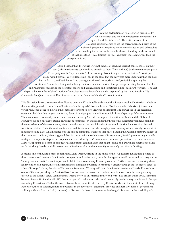can the declaration of "no sectarian principles by which to shape and mold the proletarian movement" be squared with Lenin's views? The entire history of the Bolshevik experience was to see the correctness and purity of the Bolshevik program as requiring not merely discussion and debate, but as demanding that a line in the sand be drawn. Standing on the other side of that line stood "class traitors" or "class enemies," more dangerous than the bourgeoisie itself.

Lenin believed that: 1) workers were not capable of reaching socialist consciousness on their own (this consciousness could only be brought to them "from without," by the revolutionary party; 2) the party was the "representative" of the working class not only in the sense that its "correct program" would provide "correct leadership," but in the sense that the party was more important than the class, that, in fact, it could lead the working class against the real live workers. (And, so it did, dispersing the Constituent Assembly, refusing virtually any coalitions or alliances with other parties, persecuting Mensheviks, SR's and Anarchists, murdering the Kronstadt sailors, and jailing, exiling and sometimes killing "backward workers.") The vast disparity between the Bolshevik notion of consciousness and leadership and that expressed by Marx and Engels in *The Communist Manifesto* is evident. Does it make sense to call Leninism Marxism? I do not think so.

This discussion leaves unanswered the following question: if Lenin fully understood that it was a break with Marxism to believe that a working class-led revolution in Russia was "on the agenda," how did he (and Trotsky and other Marxists) jettison these views? And, once doing so, how did they manage to dress their new views up as Marxism? One answer lies in the occasional statements by Marx that suggest that Russia, due to its unique position in Europe, might have a "special path" to communism. There are several reasons why, in my view these statements by Marx do not support the actions of Lenin and the Bolsheviks. First, it would be a mistake to stack a few random comments by Marx against the thrust of his systematic writings. Second, in the most relevant of these comments, Marx is not discussing the possibility that Russia could be ripe for a working class-led socialist revolution. Quite the contrary, Marx viewed Russia as an overwhelmingly peasant country with a virtually non-existent modern working class. What he noted was the unique communal traditions that existed among the Russian peasantry. In light of this communal tradition, Marx suggested that, in concert with a worldwide socialist revolution, Russia's peasants might be able to skip over a capitalist stage of development and move directly to a "Communist communal peasant society." In other words, Marx was speaking of a form of uniquely Russian peasant communalism that might survive and grow in an otherwise socialist world. Working class-led socialist revolution in Russian workers did not even figure remotely into Marx's thinking.

A second line of thought is more complicated. Leon Trotsky, writing in the midst of the 1905 Russian Revolution, pointed to the extremely weak nature of the Russian bourgeoisie and posited that, since this bourgeoisie could not/would not carry out its "bourgeois-democratic" tasks, this job would fall to the revolutionary Russian proletariat. Further, once such a working classled revolution had begun, in certain circumstances it might be possible to continue it directly through the "bourgeois stage" to a "socialist stage." Hence, the phrase "Permanent Revolution." Trotsky said that if the Russian revolution "sparked" a world revolution," thereby providing the "material base" for socialism in Russia, the revolution could move from the bourgeois stage directly to the socialist stage. Lenin rejected Trotsky's view as un-Marxist until World War I had broken out in 1914. Sometime between August 1914 and April 1917, Lenin recognized: 1) that war had created potentially revolutionary conditions in Europe (including Russia); and, 2) that the soviets (councils or committees) created by Russian workers in the midst of the February Revolution, then by soldiers, sailors and peasants in the revolution's aftermath, provided an alternative form of government, radically different from typical (bourgeois) parliaments. In these circumstances, he changed his views on the possibility of a

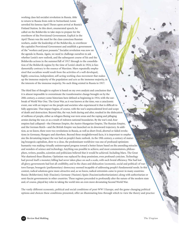working class-led socialist revolution in Russia. Able to return to Russia from exile in Switzerland, Lenin unveiled his famous April Theses upon arrival at Russia's Finland Station. In this short, enumerated speech, he called on the Bolsheviks to take steps to prepare for the overthrow of the Provisional Government. Explicit in the April Theses was the need for the class-conscious Russian workers, under the leadership of the Bolsheviks, to overthrow the capitalist Provisional Government and establish a government of the "workers and poor peasants." Socialist revolution was now on the agenda in Russia. Again, we need to challenge ourselves to ask whether Lenin's new outlook, and the subsequent course of his and the Bolsheviks actions in the summer/fall of 1917 through to the consolidation of the Bolshevik regime by the time of Lenin's death in 1924, is fundamentally contrary to the essence of Marxism. Marx repeatedly emphasized that socialism would result from the activities of a well-developed, highly conscious, independent, self-acting working class movement that makes up the immense majority of the population and acts as the immense majority, in the interests of the immense majority. No such thing existed in Russia in 1917.

The third line of thought to explore is based on my own analysis and conclusion that it is almost impossible to overestimate the transformative change brought on by the 20th century, a century some historians have defined as beginning in 1914, with the outbreak of World War One. The Great War, as it was known at the time, was a cataclysmic event, one with an impact on the people and societies who experienced it that is difficult to fully appreciate. That impact begins, of course, with the war's unprecedented level and scope of death and destruction. Beyond this, the war, both during and after, resulted in the dislocation of millions of people, either as refugees fleeing war-torn areas and the raping and pillaging armies during the war, or as a result of redrawn national boundaries. By the war's end, four empires had collapsed—the Ottoman Empire, the Austro-Hungarian Empire, The Russian Empire, and the German Reich—and the British Empire was launched on its downward trajectory. In addition, as we know, there were two revolutions in Russia, as well as short-lived, aborted or failed revolutions in Germany, Hungary and elsewhere. Beyond these straightforward facts, it is important to emphasize the devastating impact the war had on people's basic outlook. As the 19th century, a century of maturing bourgeois capitalism, drew to a close, the predominant worldview was one of profound optimism: humanity was making virtually uninterrupted progress toward a better future based on the unending miracles and wonders of science and technology. Anything was possible to achieve, and most commentators, philosophers, writers, pundits, scientists and politicians believed that it would be achieved. Including Marx. The Great War shattered these illusions. Optimism was replaced by deep pessimism, even profound cynicism. Technology had proved itself a monster; killing had never taken place on such a scale, with such brutal efficiency. War had lost all glory; governments had lost all credibility, and in the chaos and dislocation (economic, social and political) of wartorn Europe, bourgeois (parliamentary) democracy seemed incapable of addressing people's fundamental needs. In this context, radical solutions grew more attractive and, as we know, radical extremists came to power in many countries: Russia (Bolshevism); Italy (Fascism); Germany (Nazism); Spain (Fascism/authoritarianism); along with authoritarian or semi-fascist governments in other countries. These regimes proceeded to profoundly alter the nature of the modern state and, of course, played key roles in taking the world into an even more devastating Second World War.

The vastly different economic, political and social conditions of post-WW I Europe, and the game-changing political options and choices these conditions presented, offer an illuminating lens through which to view the theory and practice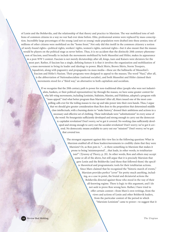of Lenin and the Bolsheviks, and the relationship of that theory and practice to Marxism. The war mobilized tens of millions of common citizens in a way no war had ever done before. Elite, professional armies were replaced by mass conscription. Incredibly large percentages of the young (and not so young) male population were drafted into these armies; tens of millions of other citizens were mobilized on the "home front." Not only did this instill in the common citizenry a notion of newly-found rights—political rights, workers' rights, women's rights, national rights—but it also meant that the masses would be players on the political stage as never before. Thus, it is no accident that the distinctly 20th century phenomenon of fascism, used broadly to include the movements mobilized by both Mussolini and Hitler, makes its appearance in a post-WW I context. Fascism is not merely dictatorship; after all, kings, tsars and Kaisers were dictators for the most part. Rather, if fascism has a single, defining feature it is that it involves the organization and mobilization of a mass movement to bring its leader and ideology to power. Black Shirts, Brown Shirts, Storm Troopers, Squadristi, along with pageantry and propaganda via mass media—these are the hallmarks of Mussolini's Fascism and Hitler's Nazism. Their programs were designed to appeal to the masses; The word "Nazi," after all, is the abbreviation of Nationalsocialiste (national socialist), and both Mussolini and Hitler claimed their movements stood for a "third way," an alternative to both capitalism and socialism.

> If we recognize that the 20th century path to power for non-traditional elites (people who were not industrialists, bankers, or their political representatives) lay through the masses, we have some greater context for why left-wing movements, including Leninists, Stalinists, Maoists, and Fidelistas, adopted a program with "mass appeal." And what better program than Marxism? After all, Marx issued one of the most compelling calls ever for the toiling masses to rise up and take power into their own hands. Thus, I argue that we should give greater consideration than Ron does to the proposition that determined middle class intellectuals, with a burning desire to "make history," dressed their ambitions and actions in a necessary and effective set of clothing. These individuals were "substitutionist" in every sense of the word: No bourgeoisie sufficiently developed and strong enough to carry out the democratic-capitalist revolution? Don't worry, we've got it covered. No working class sufficiently developed and strong enough to carry out the socialist revolution? Don't worry; we've got it covered. No democratic means available to carry out our "mission?" Don't worry; we've got that covered too.

> > The strongest argument against this view lies in the following question: What in Marxism enabled all of these leaders/movements to credibly claim that they were Marxists? Or, as Ron puts it, "…is there something in Marxism that makes it prone to being 'misinterpreted'…that leads, in other words, to totalitarianism?" (*Tyranny of Theory*, p. 20). In other words, Ron and others may accept some or all of the above, but still argue that it is precisely Marxism that gave Lenin and the Bolsheviks (and those that followed them) the specific theoretical and programmatic tools for their totalitarian actions. Since Marx claimed that he recognized the "historic march of events," Marxism provides perfect "cover" for pretty much anything, including, as a case in point, the brutal and dictatorial actions the Bolsheviks directed against those who stood in the way of their all-knowing regime. There is logic to this argument, and I do not seek to prove Ron wrong here. Rather, I have tried to offer certain context—from Marx's own writings, from the views and actions of Lenin and other Bolshevik leaders, from the particular context of the period in which "Marxism-Leninism" came to power—to suggest that it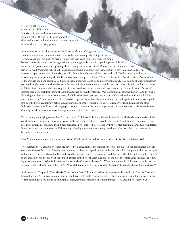is worth further considering the possibility that Marxism did not lead to totalitarianism, but rather that it was hijacked, and then thoroughly distorted and misused by fanatical totalitarians who were seeking power.

As one example of this alternative view, let's look briefly at Ron's argument in *A Look at Leninism* that Lenin was a state capitalist because, among other things, he was an "orthodox Marxist" for much of his life. Ron argues that, since Lenin's Marxism led him to believe that Russia had to pass through a significant bourgeois-democratic, capitalist, phase of development, once in power he wound up acting like a…bourgeois capitalist. I think Ron's argument here stands matters on its head. Marx was right about Russia; it did not have a working class that could, in its own name and in its own interests, shape a democratic, libertarian, socialist, future. Lenin broke with Marxism and, with Trotsky, came up with many forceful arguments explaining why the Bolsheviks were leading a revolution "of and for the workers," or alternatively, "of an alliance of the workers and poor peasants." At times, this revolution was said to be going over immediately to socialism; at other times, it was passing through a short transitional stage of further capitalist development that would then lead to socialism. In the few short years (1917-24) that Lenin was alive following the October overthrow of the Provisional Government, the Bolsheviks issued "socialist" decrees, then drew back from some of them, then turned to what they termed "War Communism" (during the Civil War, 1918-21). Following the disasters of War Communism, the Bolsheviks veered yet again in a sharply different direction, and, at Lenin's insistence, adopted the "New Economic Policy," a radical departure from War Communism that injected significant elements of capitalism into the Soviet economy. Whether Lenin believed each of these variants was correct, from 1917-1924, Lenin and the other Bolshevik leaders consolidated their single-party rule, carrying out the ruthless suppression of any alternative parties or tendencies, claiming that the mistaken views of these groups made them "class enemies."

To restate my underlying contention: Marx's "scientist" philosophy is not sufficient by itself to label Marxism totalitarian. Such a conclusion rests in some significant measure on the subsequent actions of people who claimed that they were Marxists. If one sees these actions as "Marxist," then it becomes hard, if not impossible, to argue with the contention that Marxism is totalitarian. If, on the other hand, one sees the 20th century left-wing movements as having abandoned Marxism, then the conversation becomes a more open one.

#### **Was Marx an advocate of a dictatorial state? (Well, isn't that what the dictatorship of the proletariat is?)**

Two chapters of *The Tyranny of Theory* are devoted to a discussion of the Marxist concept of the state. In the first chapter, Ron discusses the views of Marx and Engels toward the state, both under capitalism and under socialism. He then presents his own analysis of the state. In the second chapter, Ron addresses the specific issue of the working class taking over the state, and places this concept in the context of his discussion of the state in general in the prior chapter. The issue of the state is complex, and involves the following three questions: 1) What is the state, and what is Marx's view of the state? 2) What should the role of the state be under socialism, and what is Marx's view of this role? 3) What did Marx mean (or not mean) by the term, "the dictatorship of the proletariat"?

At the outset of Chapter 2 ("The Marxist Theory of the State"), Ron makes clear the importance he attaches to Marxism's attitude toward the state: "…a given ideology may be totalitarian in its underlying logic, but if it lacks a focus on using the state as a means of transforming society, that is, of imposing its ideas, its totalitarianism will remain implicit." (*The Tyranny of Theory*, p. 29)

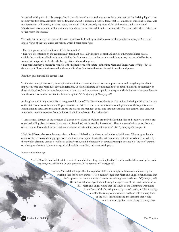It is worth noting that in this passage, Ron has made one of my central arguments: he writes that the "underlying logic" of an ideology (in this case, Marxism) may be totalitarian, but if it lacks a practical form, that is, "a means of imposing its ideas", its totalitarianism will remain, in Ron's words, "implicit." This is precisely my view of the philosophic totalitarianism of Marxism—it was implicit until it was made explicit by forces that had little in common with Marxism, other than their claim to "represent the masses."

That said, let us turn to the issue of the state more broadly. Ron begins his discussion with a concise summary of Marx and Engels' views of the state under capitalism, which I paraphrase here:

• The state grows out of conditions of "relative scarcity."

• The state is controlled by the economically dominant class, allowing it to control and exploit other subordinate classes.

• While the state is usually directly controlled by the dominant class, under certain conditions it may be controlled by forces somewhat independent of either the bourgeoisie or the working class.

• The parliamentary democratic republic is the highest form of the state (at the time Marx and Engels were writing), but its democracy is illusory in the sense that the capitalist class dominates the state through its wealth and power.

Ron then puts forward his central tenet:

"…the state in capitalist society is a capitalist institution; its assumptions, structures, procedures, and everything else about it imply, reinforce, and reproduce capitalist relations. The capitalist state does not need to be controlled, directly or indirectly, by the capitalist class for it to serve the interests of that class and to preserve capitalist society as a whole; it does so because the state is at the center of, and is essential to, the entire system." (*The Tyranny of Theory*, p. 42)

At first glance, this might seem like a passage straight out of *The Communist Manifesto*. Not so. Ron is distinguishing his concept of the state from that of Marx and Engels based on the extent to which the state is seen as independent of the capitalist class. Ron maintains that Marx and Engels viewed the state as independent entity, one that the capitalist class controls and uses, but nonetheless remains separate from capitalism itself. Ron offers an alternative view:

"…an essential element of the structure of class society, a kind of skeleton around which ruling class and society as a whole are organized; ruling class and state (and a web of hierarchies) are thoroughly intertwined. They are part of—in a sense, the apex of—a more or less unified hierarchical, authoritarian structure that dominates society." (*The Tyranny of Theory*, p.41)

I find the difference between these two views, at least at this level, to be abstract, and without significance. We can agree that the capitalist state is overwhelmingly oppressive; whether a non-capitalist state, that is to say a state that not owned and controlled by the capitalist class and used as a tool for its collective rule, would of necessity be oppressive simply because it is "the state" depends on what type of state it is, how it is organized, how it is controlled, and what role it plays.

Ron sees it differently:

"…the Marxist view that the state is an instrument of the ruling class implies that the state can be taken over by the working class, and utilized for its own purposes." (*The Tyranny of Theory*, p. 43)

> However, Marx did not argue that the capitalist state could simply be taken over and used by the working class for its own purposes. Ron acknowledges that Marx and Engels often insisted that the "…proletariat cannot simply take over the existing state machine…" (*Tyranny*, p. 43) He further acknowledges that, following the experience of the Paris Commune in 1871, Marx and Engels wrote that the failure of the Commune was that it did not "smash" the "existing state apparatus," that is, it failed to recognize that the ruling capitalist class had built into the very fiber of the state, institutions and mechanisms that would undermine an egalitarian, working class majority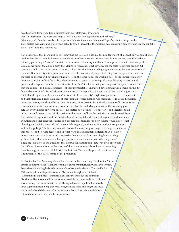based socialist democracy. Ron dismisses these clear statements by arguing that "this insistence (by Marx and Engels--RM) does not flow logically from the theory." (*Tyranny*, p. 43) In other words, other aspects of Marxist theory, not Marx and Engels' explicit writings on the state, dictate that Marx and Engels must actually have believed that the working class can simply take over and use the capitalist state. I don't find this convincing.

Ron next argues that Marx and Engels' view that the state can exist in a form independent of a specifically capitalist state implies that the state could be used to build a form of socialism that the workers do not control, specifically that a minority party might "misuse" the state in the service of building socialism. This argument is not convincing either. Could some minority, led by a party that claims to represent somebody else, use the state to oppress people? Of course it could. More to the point, of course it has. But this is not a telling argument about the nature and role of the state. If a minority seizes power and rules over the majority of people, bad things will happen. One theory of the state or another will not change that fact. If, on the other hand, the working class, as the immense majority, becomes conscious of itself as a class, chooses to end a system of private profit, vast disparity in wealth and power, and reorganize society in the interests of the "all," it is likely that good things will happen. I do not think that the course—and ultimate success—of this unpredictable, uncharted development will depend on the difference between Ron's formulations on the nature of the capitalist state and that of Marx and Engels. I do think that the question of how such a "movement of the majority" might reorganize society is important, and that Marx and Engels' dismissal of this "utopian" reorganization was mistaken. It is a rich discussion on its own terms, and should be pursued. However, in its present form, the discussion suffers from some confusion and distortion, resulting from the fact that the underlying discussion that is taking place is actually over whether any form of state—no matter how defined—is oppressive, and therefore totalitarian. I would prefer to see this discussion in the context of how the majority of people, freed from the dictates of capitalism and the dictatorship of the capitalist class, might organize production, distribution and other essential features of a cooperative, pluralistic society. Where would direct, local planning and activity leave off, and where might regional, national or international cooperation and exchange begin? Is there any role whatsoever for something we might term a government in this process, and to what degree, and in what ways, is a government different than a "state"? Does a state, any state, have certain properties that act apart from anything human beings wish or desire, that is, is a state a living organism, rather than a functional arrangement? These are just a few of the questions that deserve full exploration. Yet, even if we agree that the different formulations on the nature of the state discussed above have less meaning than Ron suggests, we are still left with the fact that Marx and Engels referred to socialism in terms of the "dictatorship of the proletariat."

In Chapter 3 of *The Tyranny of Theory,* Ron focuses on Marx and Engels' call for the "dictatorship of the proletariat." It is hard to think of any more unfortunate words ever written. True, Marx was writing before the advent of modern totalitarianism. The specific form of 20th century dictatorship—fascism and Nazism on the right, and Stalinist "Communism" on the left—were still a half-century away. But the Bourbons, Hapsburgs, Hannovers and Romanovs were certainly autocrats, and even if dictatorial rule through the modern state was still being fashioned, Napoleon had already taken significant steps along that road. Why, then, did Marx and Engels use these words, and what did they mean? Is this evidence that a dictatorial state is inherent to Marxism, or is there another explanation?

**67 Review Rod Mehling**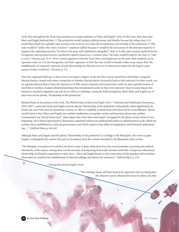As he does throughout the book, Ron presents an accurate summary of Marx and Engels' views on this issue. Ron states that Marx and Engels believed that: 1) The proletariat would conquer political power, and thereby become the ruling class; 2) It would then smash the capitalist state machine and create its own state, the revolutionary dictatorship of the proletariat; 3) This state would be "*unlike other states in history*" (emphasis added) because it would be the instrument of the immense majority to suppress the exploiting minority "in order to do away with exploitation altogether;" and, 4) As this state wrested capital from the bourgeoisie and increased society's productive capacity based on a "common plan," the basis would be laid for the state to "wither away." (*Tyranny*, pp. 55-6) Ron's central argument is that the focus Marx and Engels put on the state, their emphasis on its repressive tasks vis a vis the bourgeoisie, and their vagueness on how the state would eventually wither away, means that "the establishment of extremely repressive, brutal dictatorships by Marxists was not an historical accident but the logical consequence of their worldview." (*Tyranny*, p. 57)

Does this argument hold up, or does it rest to too great a degree on the fact that various social force and leaders, using the Marxist banner, created such states, irrespective of whether Marxist theory necessarily leads to this outcome? In other words, can we separate Marxist theory from the experience of 20th century minority movements that, under an anti-capitalist banner of one form or another, created radical dictatorships that transformed society in their own interests? Since to some degree this becomes a repetitive argument, my sole focus will be to challenge commonly held assumptions about Marx and Engels' use of and views on the phrase, "dictatorship of the proletariat."

Richard Hunt, in the preface to his work, *The Political Ideas of Marx and Engels* (Vol. 1: "Marxism and Totalitarian Democracy, 1818-1850"), notes that Marx and Engels used the phrase "dictatorship of the proletariat" infrequently. More significantly, he locates the use of the term in a particular context, an effort to establish a united front with forces led by Louis Blanqui. Hunt's overall thesis is that "Marx and Engels were neither totalitarians nor garden-variety parliamentary democrats, neither 'Communists' nor 'Social Democrats'." Hunt argues that what Marx and Engels "envisaged for the future society, from its very beginning, was a kind of participatory democracy organized without any professional leaders or administrators at all, which has nowhere been established in a national government, and which requires some effort of imagination and historical understanding…." (*Political Ideas*, p. xiii-xiv)

Although Marx and Engels used the phrase "dictatorship of the proletariat" as a bridge to the Blanquists, they went to great lengths to distinguish the content they give to the phrase from the content intended by the Blanquists. Hunt writes:

"The Blanquist conception of revolution involved a series of grim deductions from the central postulate concerning the political immaturity of the masses. Among these was the necessity of postponing democratic elections until after a temporary educational dictatorship. In diametric opposition to such views…Marx and Engels foresaw a prior maturation of the populace and revolution whose first act would be the establishment of universal suffrage and democratic institutors." (*Political Ideas*, p. 135)

During this period, Engels wrote:

"The working classes will have learned by experience that no lasting benefit whatever can be obtained for them by others, but that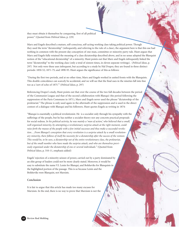they must obtain it themselves by conquering, first of all political power." (Quoted from *Political Ideas*, p. 229)

Marx and Engels described a mature, self-conscious, self-acting working class taking political power. Though they used the term "dictatorship" (infrequently, and referring to the rule of a class), the argument here is that this use had nothing in common with the present-day conception of one-man, committee or minority party rule. Hunt argues that Marx and Engels fully retained the meaning of a class dictatorship described above, and in no sense adopted the Blanquist notion of the "educational dictatorship" of a minority. Hunt points out that Marx and Engels infrequently linked the term "dictatorship" to the working class (only a total of sixteen times, in eleven separate writings). (*Political Ideas*, p. 297) Not only were these uses infrequent, but according to a study by Hal Draper, they are found in three distinct periods: 1850-52; 1871-75; and 1890-93. Hunt argues the significance of this as follows:

"During the first two periods, and at no other time, Marx and Engels worked in united fronts with the Blanquists. This double coincidence can scarcely be accidental, and we will see that the final uses in the nineties fall into line too as a 'sort of echo of 1875.'" (*Political Ideas*, p. 297)

Referencing Draper's study, Hunt points out that over the course of the two full decades between the period of the Communist League and that of the second collaboration with Blanqui (the period following the suppression of the Paris Commune in 1871), Marx and Engels never used the phrase "dictatorship of the proletariat." The phrase is only used again in the aftermath of the suppression and is used in the direct context of a dialogue with Blanqui and his followers. Hunt quotes Engels as writing in 1874:

"Blanqui is essentially a political revolutionist. He is a socialist only through his sympathy with the sufferings of the people, but he has neither a socialist theory nor any concrete practical proposals for social redress. *In his political activity, he was mainly a 'man of action,' who believed that a small, well organized minority, by attempting a revolutionary surprise attack at the right moment, could raise forth the masses of the people with a few initial successes and thus make a successful revolution….From Blanqui's conception that every revolution is a surprise attack by a small revolutionary minority, there follows of itself the necessity for a dictatorship after the success of the venture. This would be, to be sure, a dictatorship not of the entire revolutionary class, the proletariat, but of the small number who have made the surprise attack, and who are themselves previously organized under the dictatorship of one or several individuals.*" (Quoted from *Political Ideas*, p. 310-11, emphasis added)

Engels' rejection of a minority seizure of power, carried out by a party dominated by an elite group of leaders could not be more clearly stated. Moreover, it would be easy to substitute the name V.I. Lenin for Blanqui, and Bolsheviks for Blanquists in the highlighted portion of the passage. This is so because Lenin and the Bolsheviks were Blanquist, not Marxists.

#### **Conclusion**

It is fair to argue that this article has made too many excuses for Marxism. In the end, there is no way to prove that Marxism is not the